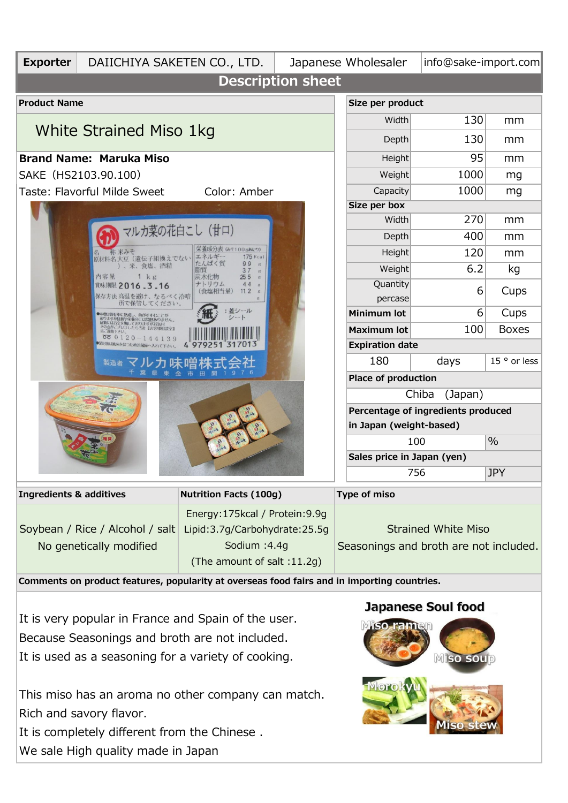

It is completely different from the Chinese . We sale High quality made in Japan